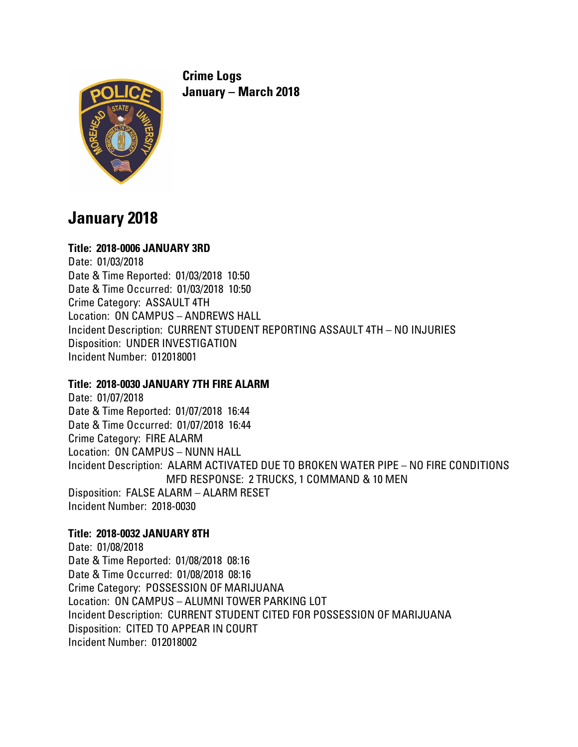

**Crime Logs January – March 2018**

# **January 2018**

# **Title: 2018-0006 JANUARY 3RD**

Date: 01/03/2018 Date & Time Reported: 01/03/2018 10:50 Date & Time Occurred: 01/03/2018 10:50 Crime Category: ASSAULT 4TH Location: ON CAMPUS – ANDREWS HALL Incident Description: CURRENT STUDENT REPORTING ASSAULT 4TH – NO INJURIES Disposition: UNDER INVESTIGATION Incident Number: 012018001

# **Title: 2018-0030 JANUARY 7TH FIRE ALARM**

Date: 01/07/2018 Date & Time Reported: 01/07/2018 16:44 Date & Time Occurred: 01/07/2018 16:44 Crime Category: FIRE ALARM Location: ON CAMPUS – NUNN HALL Incident Description: ALARM ACTIVATED DUE TO BROKEN WATER PIPE – NO FIRE CONDITIONS MFD RESPONSE: 2 TRUCKS, 1 COMMAND & 10 MEN Disposition: FALSE ALARM – ALARM RESET Incident Number: 2018-0030

# **Title: 2018-0032 JANUARY 8TH**

Date: 01/08/2018 Date & Time Reported: 01/08/2018 08:16 Date & Time Occurred: 01/08/2018 08:16 Crime Category: POSSESSION OF MARIJUANA Location: ON CAMPUS – ALUMNI TOWER PARKING LOT Incident Description: CURRENT STUDENT CITED FOR POSSESSION OF MARIJUANA Disposition: CITED TO APPEAR IN COURT Incident Number: 012018002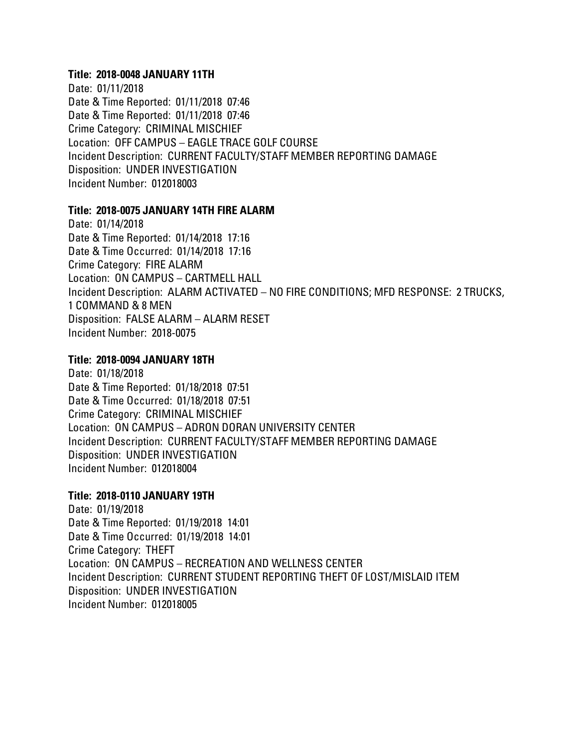#### **Title: 2018-0048 JANUARY 11TH**

Date: 01/11/2018 Date & Time Reported: 01/11/2018 07:46 Date & Time Reported: 01/11/2018 07:46 Crime Category: CRIMINAL MISCHIEF Location: OFF CAMPUS – EAGLE TRACE GOLF COURSE Incident Description: CURRENT FACULTY/STAFF MEMBER REPORTING DAMAGE Disposition: UNDER INVESTIGATION Incident Number: 012018003

#### **Title: 2018-0075 JANUARY 14TH FIRE ALARM**

Date: 01/14/2018 Date & Time Reported: 01/14/2018 17:16 Date & Time Occurred: 01/14/2018 17:16 Crime Category: FIRE ALARM Location: ON CAMPUS – CARTMELL HALL Incident Description: ALARM ACTIVATED – NO FIRE CONDITIONS; MFD RESPONSE: 2 TRUCKS, 1 COMMAND & 8 MEN Disposition: FALSE ALARM – ALARM RESET Incident Number: 2018-0075

# **Title: 2018-0094 JANUARY 18TH**

Date: 01/18/2018 Date & Time Reported: 01/18/2018 07:51 Date & Time Occurred: 01/18/2018 07:51 Crime Category: CRIMINAL MISCHIEF Location: ON CAMPUS – ADRON DORAN UNIVERSITY CENTER Incident Description: CURRENT FACULTY/STAFF MEMBER REPORTING DAMAGE Disposition: UNDER INVESTIGATION Incident Number: 012018004

# **Title: 2018-0110 JANUARY 19TH**

Date: 01/19/2018 Date & Time Reported: 01/19/2018 14:01 Date & Time Occurred: 01/19/2018 14:01 Crime Category: THEFT Location: ON CAMPUS – RECREATION AND WELLNESS CENTER Incident Description: CURRENT STUDENT REPORTING THEFT OF LOST/MISLAID ITEM Disposition: UNDER INVESTIGATION Incident Number: 012018005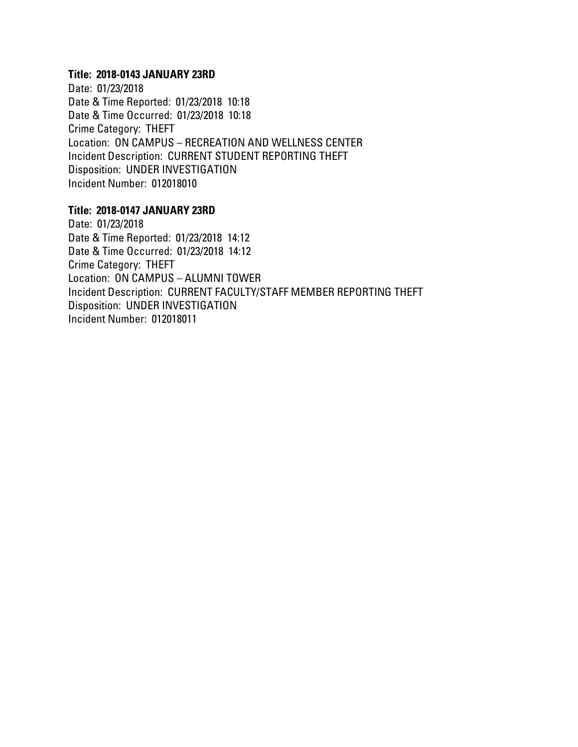#### **Title: 2018-0143 JANUARY 23RD**

Date: 01/23/2018 Date & Time Reported: 01/23/2018 10:18 Date & Time Occurred: 01/23/2018 10:18 Crime Category: THEFT Location: ON CAMPUS – RECREATION AND WELLNESS CENTER Incident Description: CURRENT STUDENT REPORTING THEFT Disposition: UNDER INVESTIGATION Incident Number: 012018010

#### **Title: 2018-0147 JANUARY 23RD**

Date: 01/23/2018 Date & Time Reported: 01/23/2018 14:12 Date & Time Occurred: 01/23/2018 14:12 Crime Category: THEFT Location: ON CAMPUS – ALUMNI TOWER Incident Description: CURRENT FACULTY/STAFF MEMBER REPORTING THEFT Disposition: UNDER INVESTIGATION Incident Number: 012018011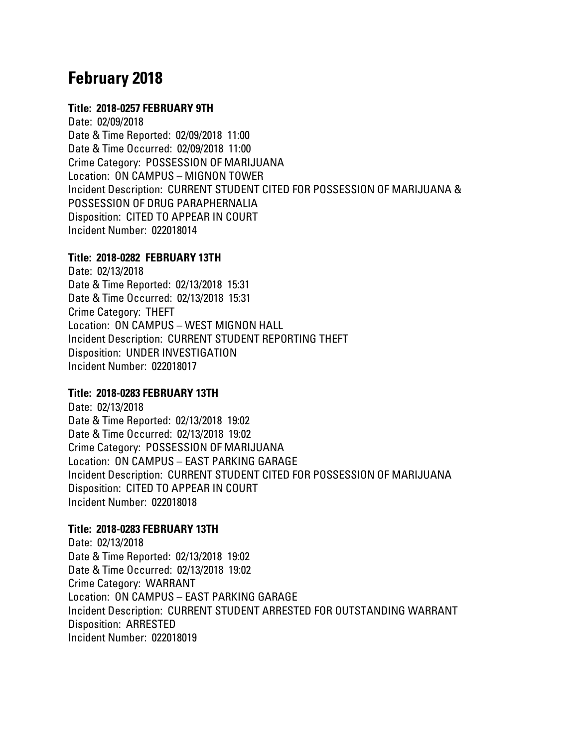# **February 2018**

#### **Title: 2018-0257 FEBRUARY 9TH**

Date: 02/09/2018 Date & Time Reported: 02/09/2018 11:00 Date & Time Occurred: 02/09/2018 11:00 Crime Category: POSSESSION OF MARIJUANA Location: ON CAMPUS – MIGNON TOWER Incident Description: CURRENT STUDENT CITED FOR POSSESSION OF MARIJUANA & POSSESSION OF DRUG PARAPHERNALIA Disposition: CITED TO APPEAR IN COURT Incident Number: 022018014

#### **Title: 2018-0282 FEBRUARY 13TH**

Date: 02/13/2018 Date & Time Reported: 02/13/2018 15:31 Date & Time Occurred: 02/13/2018 15:31 Crime Category: THEFT Location: ON CAMPUS – WEST MIGNON HALL Incident Description: CURRENT STUDENT REPORTING THEFT Disposition: UNDER INVESTIGATION Incident Number: 022018017

# **Title: 2018-0283 FEBRUARY 13TH**

Date: 02/13/2018 Date & Time Reported: 02/13/2018 19:02 Date & Time Occurred: 02/13/2018 19:02 Crime Category: POSSESSION OF MARIJUANA Location: ON CAMPUS – EAST PARKING GARAGE Incident Description: CURRENT STUDENT CITED FOR POSSESSION OF MARIJUANA Disposition: CITED TO APPEAR IN COURT Incident Number: 022018018

# **Title: 2018-0283 FEBRUARY 13TH**

Date: 02/13/2018 Date & Time Reported: 02/13/2018 19:02 Date & Time Occurred: 02/13/2018 19:02 Crime Category: WARRANT Location: ON CAMPUS – EAST PARKING GARAGE Incident Description: CURRENT STUDENT ARRESTED FOR OUTSTANDING WARRANT Disposition: ARRESTED Incident Number: 022018019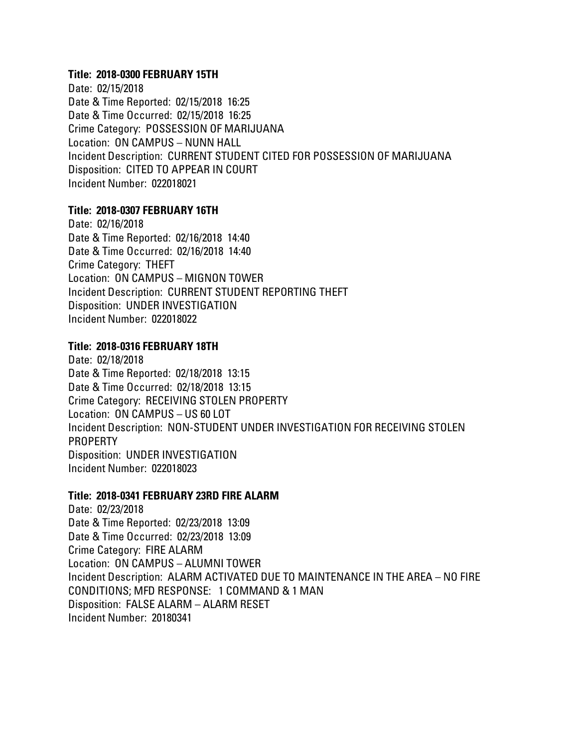#### **Title: 2018-0300 FEBRUARY 15TH**

Date: 02/15/2018 Date & Time Reported: 02/15/2018 16:25 Date & Time Occurred: 02/15/2018 16:25 Crime Category: POSSESSION OF MARIJUANA Location: ON CAMPUS – NUNN HALL Incident Description: CURRENT STUDENT CITED FOR POSSESSION OF MARIJUANA Disposition: CITED TO APPEAR IN COURT Incident Number: 022018021

# **Title: 2018-0307 FEBRUARY 16TH**

Date: 02/16/2018 Date & Time Reported: 02/16/2018 14:40 Date & Time Occurred: 02/16/2018 14:40 Crime Category: THEFT Location: ON CAMPUS – MIGNON TOWER Incident Description: CURRENT STUDENT REPORTING THEFT Disposition: UNDER INVESTIGATION Incident Number: 022018022

#### **Title: 2018-0316 FEBRUARY 18TH**

Date: 02/18/2018 Date & Time Reported: 02/18/2018 13:15 Date & Time Occurred: 02/18/2018 13:15 Crime Category: RECEIVING STOLEN PROPERTY Location: ON CAMPUS – US 60 LOT Incident Description: NON-STUDENT UNDER INVESTIGATION FOR RECEIVING STOLEN PROPERTY Disposition: UNDER INVESTIGATION Incident Number: 022018023

#### **Title: 2018-0341 FEBRUARY 23RD FIRE ALARM**

Date: 02/23/2018 Date & Time Reported: 02/23/2018 13:09 Date & Time Occurred: 02/23/2018 13:09 Crime Category: FIRE ALARM Location: ON CAMPUS – ALUMNI TOWER Incident Description: ALARM ACTIVATED DUE TO MAINTENANCE IN THE AREA – NO FIRE CONDITIONS; MFD RESPONSE: 1 COMMAND & 1 MAN Disposition: FALSE ALARM – ALARM RESET Incident Number: 20180341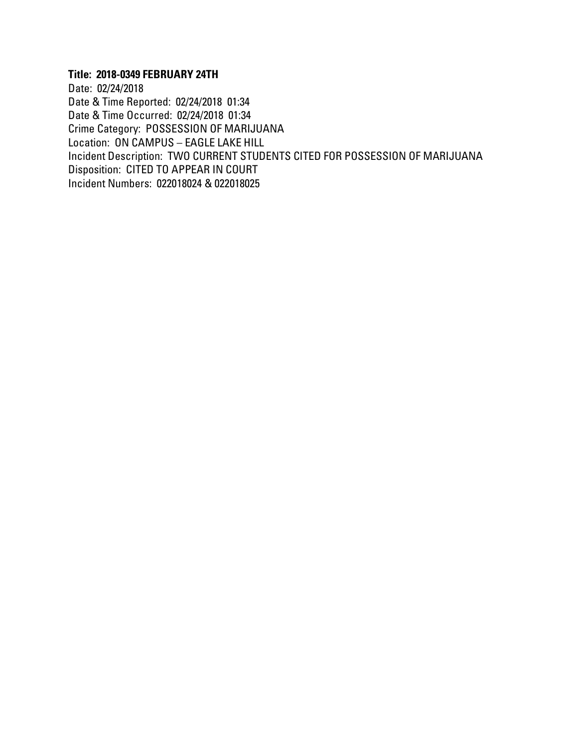# **Title: 2018-0349 FEBRUARY 24TH**

Date: 02/24/2018 Date & Time Reported: 02/24/2018 01:34 Date & Time Occurred: 02/24/2018 01:34 Crime Category: POSSESSION OF MARIJUANA Location: ON CAMPUS – EAGLE LAKE HILL Incident Description: TWO CURRENT STUDENTS CITED FOR POSSESSION OF MARIJUANA Disposition: CITED TO APPEAR IN COURT Incident Numbers: 022018024 & 022018025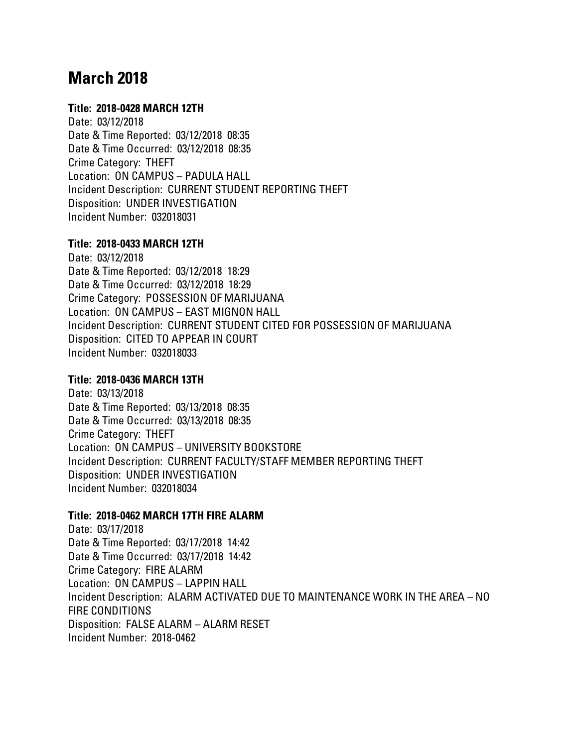# **March 2018**

#### **Title: 2018-0428 MARCH 12TH**

Date: 03/12/2018 Date & Time Reported: 03/12/2018 08:35 Date & Time Occurred: 03/12/2018 08:35 Crime Category: THEFT Location: ON CAMPUS – PADULA HALL Incident Description: CURRENT STUDENT REPORTING THEFT Disposition: UNDER INVESTIGATION Incident Number: 032018031

#### **Title: 2018-0433 MARCH 12TH**

Date: 03/12/2018 Date & Time Reported: 03/12/2018 18:29 Date & Time Occurred: 03/12/2018 18:29 Crime Category: POSSESSION OF MARIJUANA Location: ON CAMPUS – EAST MIGNON HALL Incident Description: CURRENT STUDENT CITED FOR POSSESSION OF MARIJUANA Disposition: CITED TO APPEAR IN COURT Incident Number: 032018033

#### **Title: 2018-0436 MARCH 13TH**

Date: 03/13/2018 Date & Time Reported: 03/13/2018 08:35 Date & Time Occurred: 03/13/2018 08:35 Crime Category: THEFT Location: ON CAMPUS – UNIVERSITY BOOKSTORE Incident Description: CURRENT FACULTY/STAFF MEMBER REPORTING THEFT Disposition: UNDER INVESTIGATION Incident Number: 032018034

# **Title: 2018-0462 MARCH 17TH FIRE ALARM**

Date: 03/17/2018 Date & Time Reported: 03/17/2018 14:42 Date & Time Occurred: 03/17/2018 14:42 Crime Category: FIRE ALARM Location: ON CAMPUS – LAPPIN HALL Incident Description: ALARM ACTIVATED DUE TO MAINTENANCE WORK IN THE AREA – NO FIRE CONDITIONS Disposition: FALSE ALARM – ALARM RESET Incident Number: 2018-0462